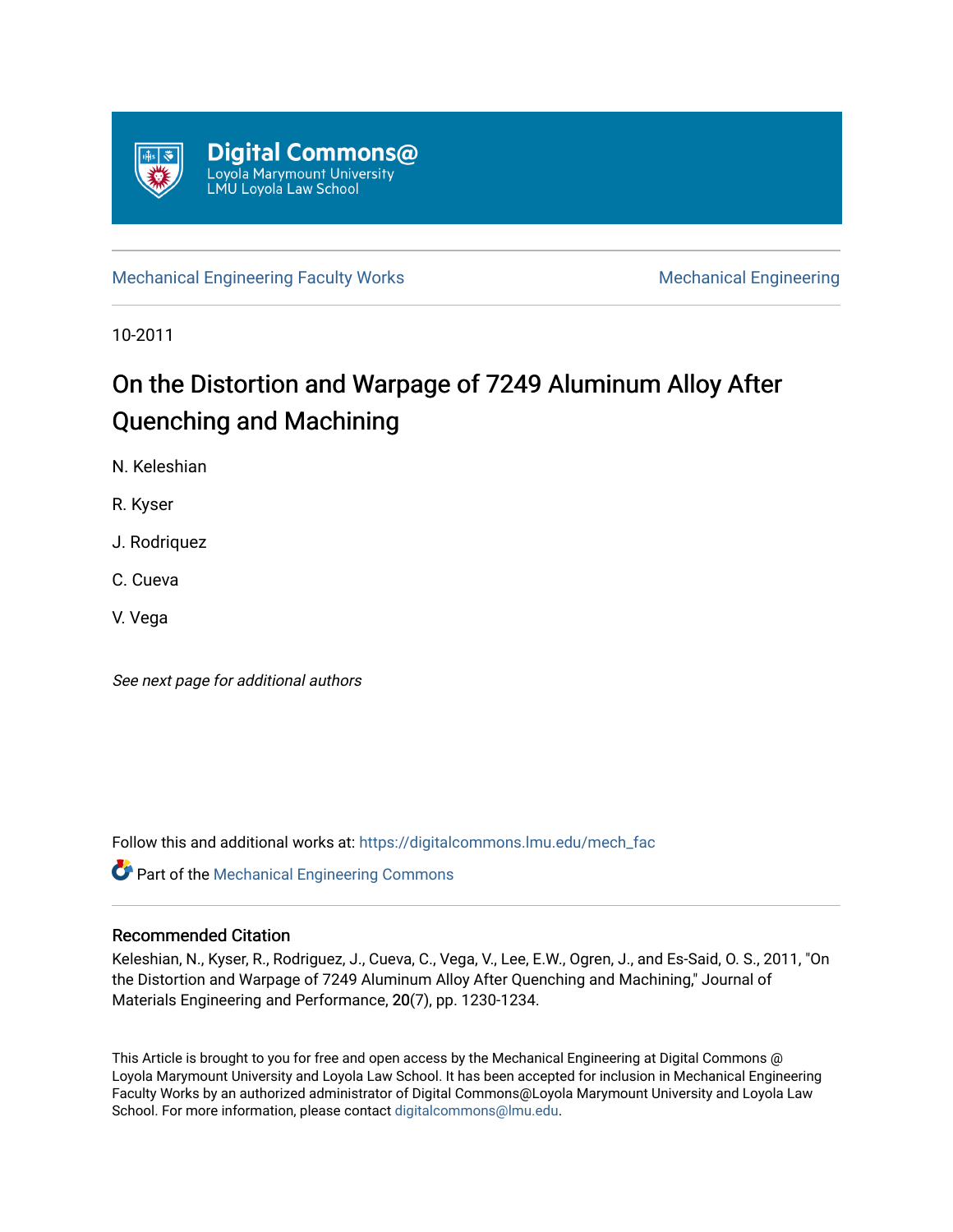

[Mechanical Engineering Faculty Works](https://digitalcommons.lmu.edu/mech_fac) [Mechanical Engineering](https://digitalcommons.lmu.edu/mech) **Mechanical** Engineering

10-2011

# On the Distortion and Warpage of 7249 Aluminum Alloy After Quenching and Machining

N. Keleshian

R. Kyser

J. Rodriquez

- C. Cueva
- V. Vega

See next page for additional authors

Follow this and additional works at: [https://digitalcommons.lmu.edu/mech\\_fac](https://digitalcommons.lmu.edu/mech_fac?utm_source=digitalcommons.lmu.edu%2Fmech_fac%2F16&utm_medium=PDF&utm_campaign=PDFCoverPages)

Part of the [Mechanical Engineering Commons](http://network.bepress.com/hgg/discipline/293?utm_source=digitalcommons.lmu.edu%2Fmech_fac%2F16&utm_medium=PDF&utm_campaign=PDFCoverPages) 

## Recommended Citation

Keleshian, N., Kyser, R., Rodriguez, J., Cueva, C., Vega, V., Lee, E.W., Ogren, J., and Es-Said, O. S., 2011, "On the Distortion and Warpage of 7249 Aluminum Alloy After Quenching and Machining," Journal of Materials Engineering and Performance, 20(7), pp. 1230-1234.

This Article is brought to you for free and open access by the Mechanical Engineering at Digital Commons @ Loyola Marymount University and Loyola Law School. It has been accepted for inclusion in Mechanical Engineering Faculty Works by an authorized administrator of Digital Commons@Loyola Marymount University and Loyola Law School. For more information, please contact [digitalcommons@lmu.edu.](mailto:digitalcommons@lmu.edu)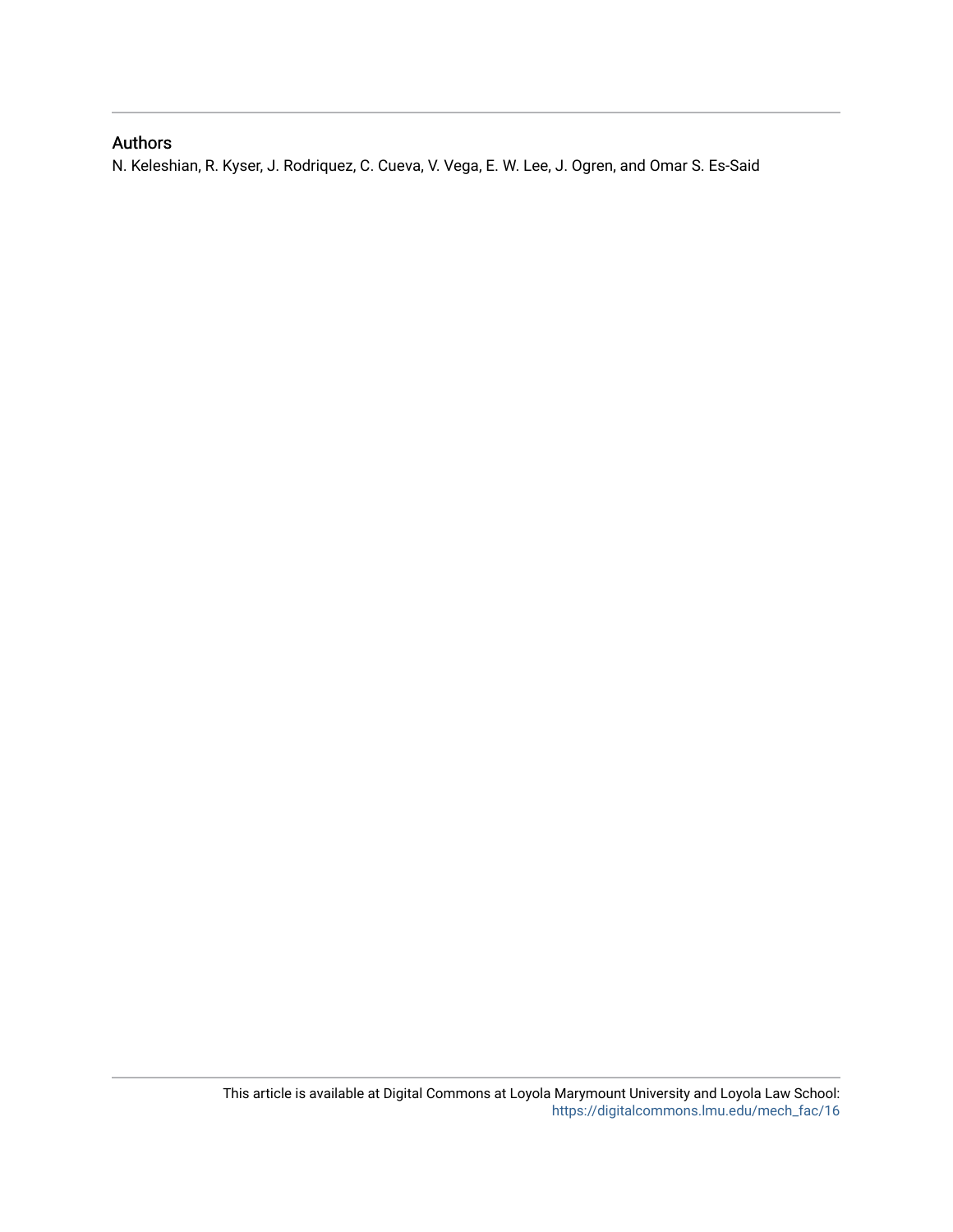## Authors

N. Keleshian, R. Kyser, J. Rodriquez, C. Cueva, V. Vega, E. W. Lee, J. Ogren, and Omar S. Es-Said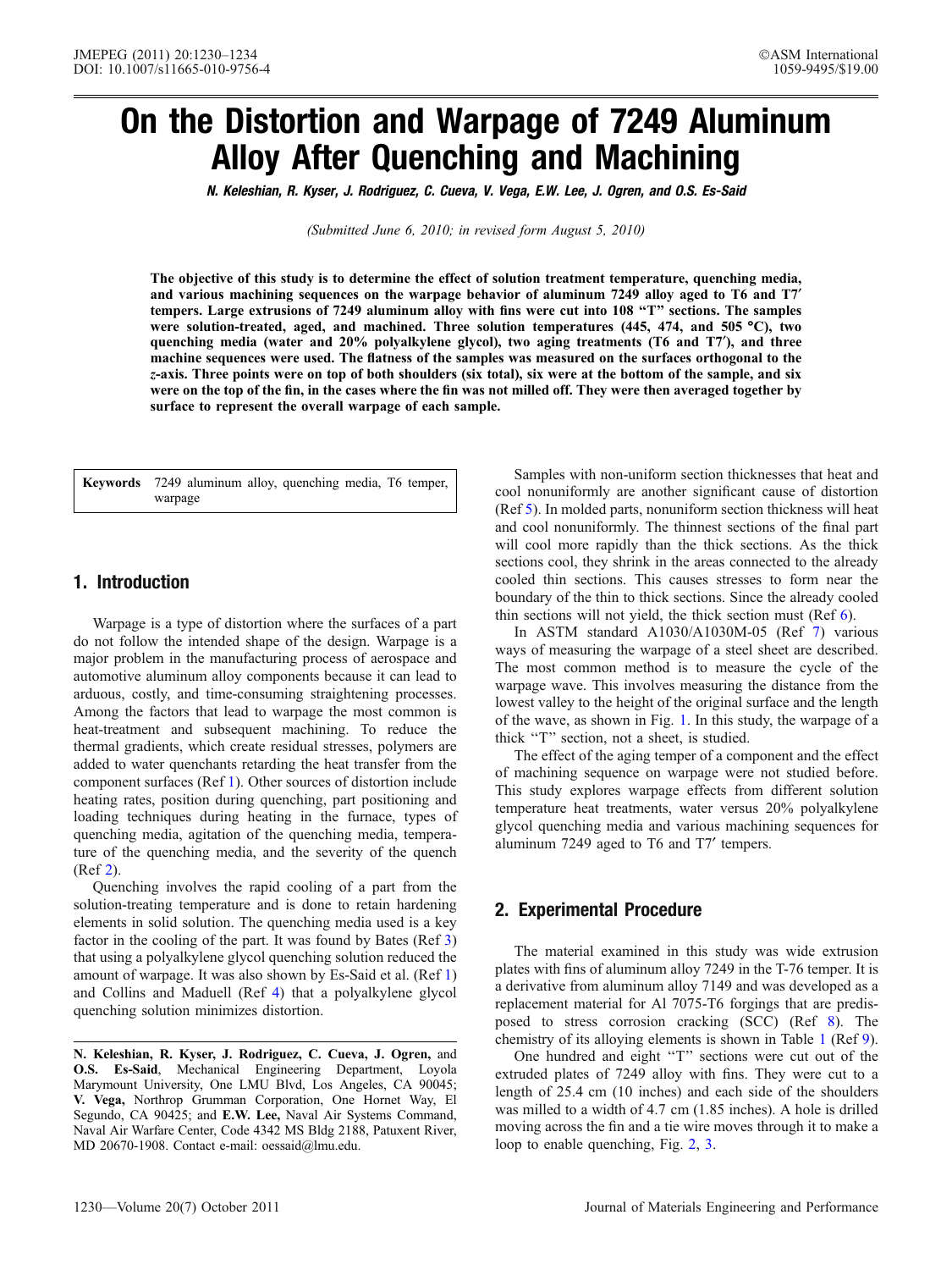# On the Distortion and Warpage of 7249 Aluminum Alloy After Quenching and Machining

N. Keleshian, R. Kyser, J. Rodriguez, C. Cueva, V. Vega, E.W. Lee, J. Ogren, and O.S. Es-Said

(Submitted June 6, 2010; in revised form August 5, 2010)

The objective of this study is to determine the effect of solution treatment temperature, quenching media, and various machining sequences on the warpage behavior of aluminum 7249 alloy aged to T6 and T7¢ tempers. Large extrusions of 7249 aluminum alloy with fins were cut into 108 "T" sections. The samples were solution-treated, aged, and machined. Three solution temperatures (445, 474, and 505 °C), two quenching media (water and 20% polyalkylene glycol), two aging treatments (T6 and T7'), and three machine sequences were used. The flatness of the samples was measured on the surfaces orthogonal to the z-axis. Three points were on top of both shoulders (six total), six were at the bottom of the sample, and six were on the top of the fin, in the cases where the fin was not milled off. They were then averaged together by surface to represent the overall warpage of each sample.

| Keywords 7249 aluminum alloy, quenching media, T6 temper, |  |  |  |
|-----------------------------------------------------------|--|--|--|
| warpage                                                   |  |  |  |

### 1. Introduction

Warpage is a type of distortion where the surfaces of a part do not follow the intended shape of the design. Warpage is a major problem in the manufacturing process of aerospace and automotive aluminum alloy components because it can lead to arduous, costly, and time-consuming straightening processes. Among the factors that lead to warpage the most common is heat-treatment and subsequent machining. To reduce the thermal gradients, which create residual stresses, polymers are added to water quenchants retarding the heat transfer from the component surfaces (Ref [1\)](#page-6-0). Other sources of distortion include heating rates, position during quenching, part positioning and loading techniques during heating in the furnace, types of quenching media, agitation of the quenching media, temperature of the quenching media, and the severity of the quench (Ref [2](#page-6-0)).

Quenching involves the rapid cooling of a part from the solution-treating temperature and is done to retain hardening elements in solid solution. The quenching media used is a key factor in the cooling of the part. It was found by Bates (Ref [3\)](#page-6-0) that using a polyalkylene glycol quenching solution reduced the amount of warpage. It was also shown by Es-Said et al. (Ref [1\)](#page-6-0) and Collins and Maduell (Ref [4\)](#page-6-0) that a polyalkylene glycol quenching solution minimizes distortion.

N. Keleshian, R. Kyser, J. Rodriguez, C. Cueva, J. Ogren, and O.S. Es-Said, Mechanical Engineering Department, Loyola Marymount University, One LMU Blvd, Los Angeles, CA 90045; V. Vega, Northrop Grumman Corporation, One Hornet Way, El Segundo, CA 90425; and E.W. Lee, Naval Air Systems Command, Naval Air Warfare Center, Code 4342 MS Bldg 2188, Patuxent River, MD 20670-1908. Contact e-mail: oessaid@lmu.edu.

Samples with non-uniform section thicknesses that heat and cool nonuniformly are another significant cause of distortion (Ref [5\)](#page-6-0). In molded parts, nonuniform section thickness will heat and cool nonuniformly. The thinnest sections of the final part will cool more rapidly than the thick sections. As the thick sections cool, they shrink in the areas connected to the already cooled thin sections. This causes stresses to form near the boundary of the thin to thick sections. Since the already cooled thin sections will not yield, the thick section must (Ref [6](#page-6-0)).

In ASTM standard A1030/A1030M-05 (Ref [7\)](#page-6-0) various ways of measuring the warpage of a steel sheet are described. The most common method is to measure the cycle of the warpage wave. This involves measuring the distance from the lowest valley to the height of the original surface and the length of the wave, as shown in Fig. [1.](#page-3-0) In this study, the warpage of a thick ''T'' section, not a sheet, is studied.

The effect of the aging temper of a component and the effect of machining sequence on warpage were not studied before. This study explores warpage effects from different solution temperature heat treatments, water versus 20% polyalkylene glycol quenching media and various machining sequences for aluminum 7249 aged to T6 and T7' tempers.

## 2. Experimental Procedure

The material examined in this study was wide extrusion plates with fins of aluminum alloy 7249 in the T-76 temper. It is a derivative from aluminum alloy 7149 and was developed as a replacement material for Al 7075-T6 forgings that are predisposed to stress corrosion cracking (SCC) (Ref [8](#page-6-0)). The chemistry of its alloying elements is shown in Table [1](#page-3-0) (Ref [9\)](#page-6-0).

One hundred and eight ''T'' sections were cut out of the extruded plates of 7249 alloy with fins. They were cut to a length of 25.4 cm (10 inches) and each side of the shoulders was milled to a width of 4.7 cm (1.85 inches). A hole is drilled moving across the fin and a tie wire moves through it to make a loop to enable quenching, Fig. [2](#page-3-0), [3.](#page-3-0)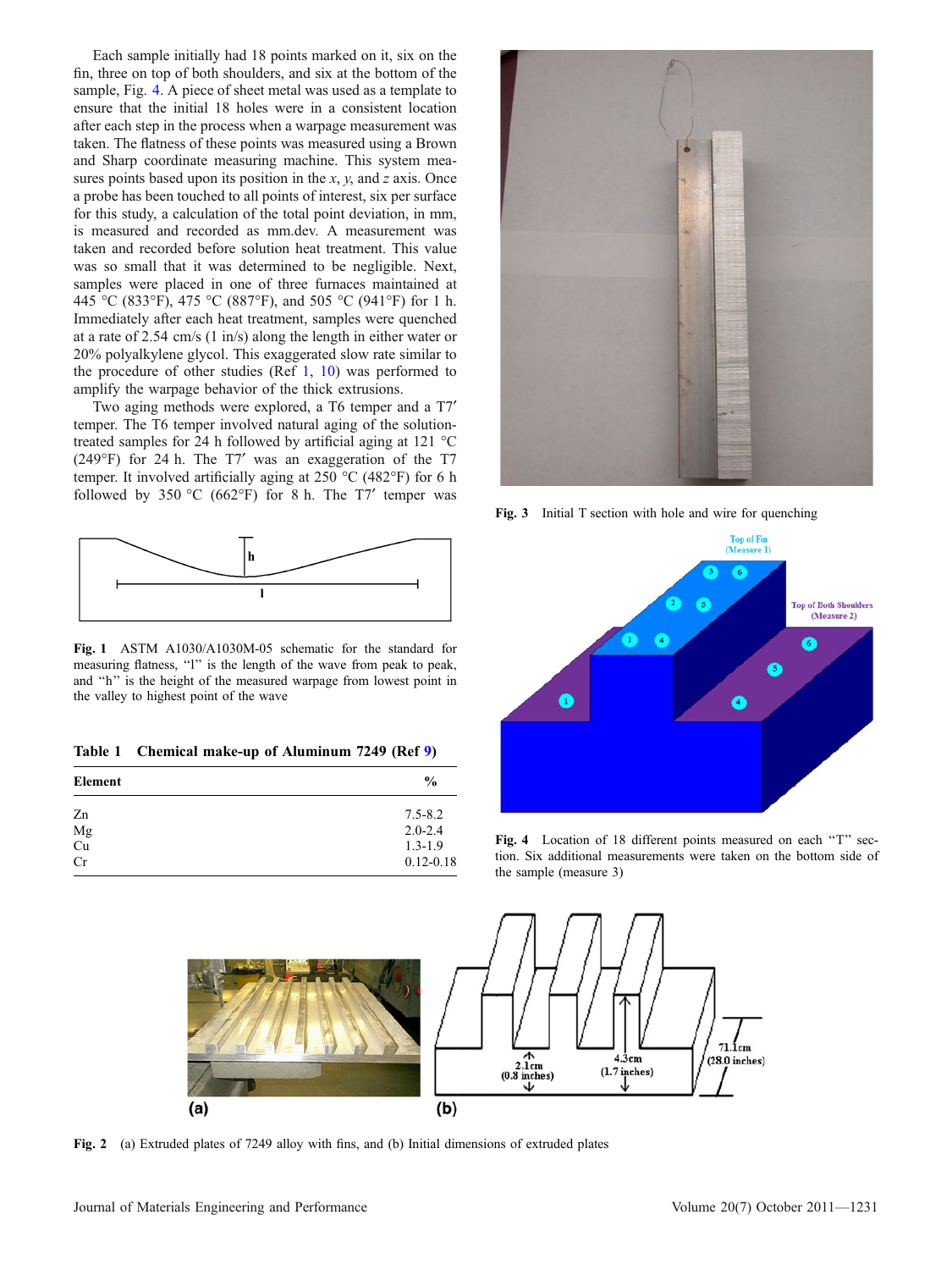<span id="page-3-0"></span>Each sample initially had 18 points marked on it, six on the fin, three on top of both shoulders, and six at the bottom of the sample, Fig. 4. A piece of sheet metal was used as a template to ensure that the initial 18 holes were in a consistent location after each step in the process when a warpage measurement was taken. The flatness of these points was measured using a Brown and Sharp coordinate measuring machine. This system measures points based upon its position in the  $x$ ,  $y$ , and  $z$  axis. Once a probe has been touched to all points of interest, six per surface for this study, a calculation of the total point deviation, in mm, is measured and recorded as mm.dev. A measurement was taken and recorded before solution heat treatment. This value was so small that it was determined to be negligible. Next, samples were placed in one of three furnaces maintained at 445 °C (833°F), 475 °C (887°F), and 505 °C (941°F) for 1 h. Immediately after each heat treatment, samples were quenched at a rate of 2.54 cm/s (1 in/s) along the length in either water or 20% polyalkylene glycol. This exaggerated slow rate similar to the procedure of other studies (Ref  $1, 10$  $1, 10$  $1, 10$ ) was performed to amplify the warpage behavior of the thick extrusions.

Two aging methods were explored, a T6 temper and a T7' temper. The T6 temper involved natural aging of the solutiontreated samples for 24 h followed by artificial aging at 121  $^{\circ}$ C (249 $\degree$ F) for 24 h. The T7' was an exaggeration of the T7 temper. It involved artificially aging at  $250 \degree C$  (482°F) for 6 h followed by 350 °C (662°F) for 8 h. The T7' temper was



Fig. 1 ASTM A1030/A1030M-05 schematic for the standard for measuring flatness, "l" is the length of the wave from peak to peak, and ''h'' is the height of the measured warpage from lowest point in the valley to highest point of the wave

| Table 1 Chemical make-up of Aluminum 7249 (Ref 9) |
|---------------------------------------------------|
|---------------------------------------------------|

| Element              | $\frac{0}{0}$ |
|----------------------|---------------|
| Zn                   | $7.5 - 8.2$   |
|                      | $2.0 - 2.4$   |
| $_{\rm Cu}^{\rm Mg}$ | $1.3 - 1.9$   |
| Cr                   | $0.12 - 0.18$ |



Fig. 3 Initial T section with hole and wire for quenching



Fig. 4 Location of 18 different points measured on each "T" section. Six additional measurements were taken on the bottom side of the sample (measure 3)



Fig. 2 (a) Extruded plates of 7249 alloy with fins, and (b) Initial dimensions of extruded plates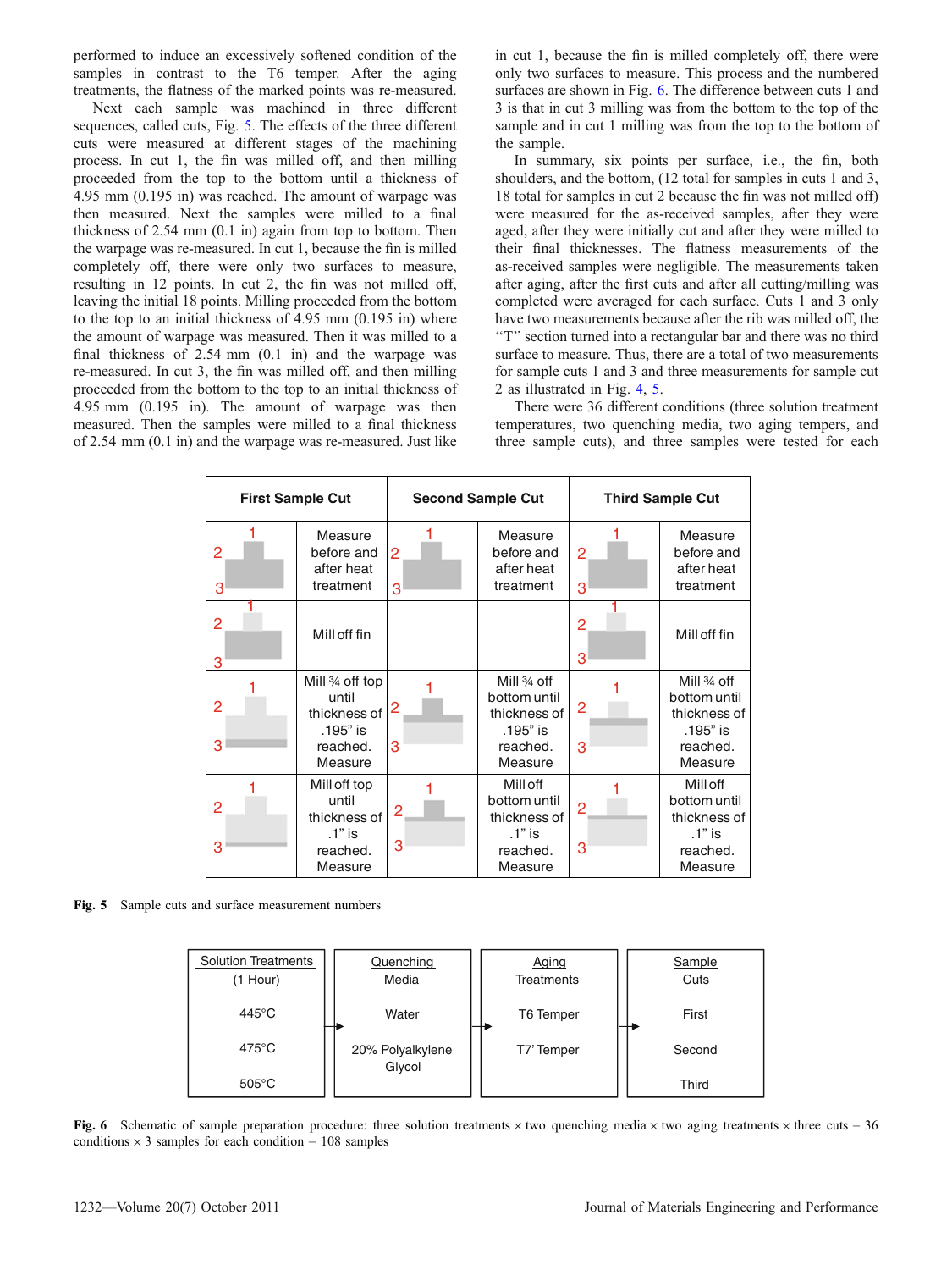<span id="page-4-0"></span>performed to induce an excessively softened condition of the samples in contrast to the T6 temper. After the aging treatments, the flatness of the marked points was re-measured.

Next each sample was machined in three different sequences, called cuts, Fig. 5. The effects of the three different cuts were measured at different stages of the machining process. In cut 1, the fin was milled off, and then milling proceeded from the top to the bottom until a thickness of 4.95 mm (0.195 in) was reached. The amount of warpage was then measured. Next the samples were milled to a final thickness of 2.54 mm (0.1 in) again from top to bottom. Then the warpage was re-measured. In cut 1, because the fin is milled completely off, there were only two surfaces to measure, resulting in 12 points. In cut 2, the fin was not milled off, leaving the initial 18 points. Milling proceeded from the bottom to the top to an initial thickness of 4.95 mm (0.195 in) where the amount of warpage was measured. Then it was milled to a final thickness of 2.54 mm (0.1 in) and the warpage was re-measured. In cut 3, the fin was milled off, and then milling proceeded from the bottom to the top to an initial thickness of 4.95 mm (0.195 in). The amount of warpage was then measured. Then the samples were milled to a final thickness of 2.54 mm (0.1 in) and the warpage was re-measured. Just like

in cut 1, because the fin is milled completely off, there were only two surfaces to measure. This process and the numbered surfaces are shown in Fig. 6. The difference between cuts 1 and 3 is that in cut 3 milling was from the bottom to the top of the sample and in cut 1 milling was from the top to the bottom of the sample.

In summary, six points per surface, i.e., the fin, both shoulders, and the bottom, (12 total for samples in cuts 1 and 3, 18 total for samples in cut 2 because the fin was not milled off) were measured for the as-received samples, after they were aged, after they were initially cut and after they were milled to their final thicknesses. The flatness measurements of the as-received samples were negligible. The measurements taken after aging, after the first cuts and after all cutting/milling was completed were averaged for each surface. Cuts 1 and 3 only have two measurements because after the rib was milled off, the "T" section turned into a rectangular bar and there was no third surface to measure. Thus, there are a total of two measurements for sample cuts 1 and 3 and three measurements for sample cut 2 as illustrated in Fig. [4](#page-3-0), 5.

There were 36 different conditions (three solution treatment temperatures, two quenching media, two aging tempers, and three sample cuts), and three samples were tested for each

| <b>First Sample Cut</b> |                                                                               |                     | <b>Second Sample Cut</b>                                                       | <b>Third Sample Cut</b> |                                                                                |  |
|-------------------------|-------------------------------------------------------------------------------|---------------------|--------------------------------------------------------------------------------|-------------------------|--------------------------------------------------------------------------------|--|
| 2<br>3                  | Measure<br>before and<br>after heat<br>treatment                              | $\overline{2}$<br>3 | Measure<br>before and<br>after heat<br>treatment                               | $\overline{2}$<br>3     | Measure<br>before and<br>after heat<br>treatment                               |  |
| $\overline{2}$<br>3     | Mill off fin                                                                  |                     |                                                                                | 2<br>3                  | Mill off fin                                                                   |  |
| 2<br>3                  | Mill 34 off top<br>until<br>thickness of 2<br>.195" is<br>reached.<br>Measure | 3                   | Mill 34 off<br>bottom until<br>thickness of<br>.195" is<br>reached.<br>Measure | 2<br>3                  | Mill 34 off<br>bottom until<br>thickness of<br>.195" is<br>reached.<br>Measure |  |
| 2<br>3                  | Mill off top<br>until<br>thickness of<br>$.1"$ is<br>reached.<br>Measure      | 2<br>3              | Mill off<br>bottom until<br>thickness of<br>.1" is<br>reached.<br>Measure      | $\overline{2}$<br>3     | Mill off<br>bottom until<br>thickness of<br>.1" is<br>reached.<br>Measure      |  |

Fig. 5 Sample cuts and surface measurement numbers

| <b>Solution Treatments</b><br>(1 Hour) | Quenching<br>Media | Aging<br>Treatments | Sample<br>Cuts |
|----------------------------------------|--------------------|---------------------|----------------|
| $445^{\circ}$ C                        | Water              | T6 Temper           | First          |
| $475^{\circ}$ C                        | 20% Polyalkylene   | T7' Temper          | Second         |
| $505^{\circ}$ C                        | Glycol             |                     | Third          |

Fig. 6 Schematic of sample preparation procedure: three solution treatments  $\times$  two quenching media  $\times$  two aging treatments  $\times$  three cuts = 36 conditions  $\times$  3 samples for each condition = 108 samples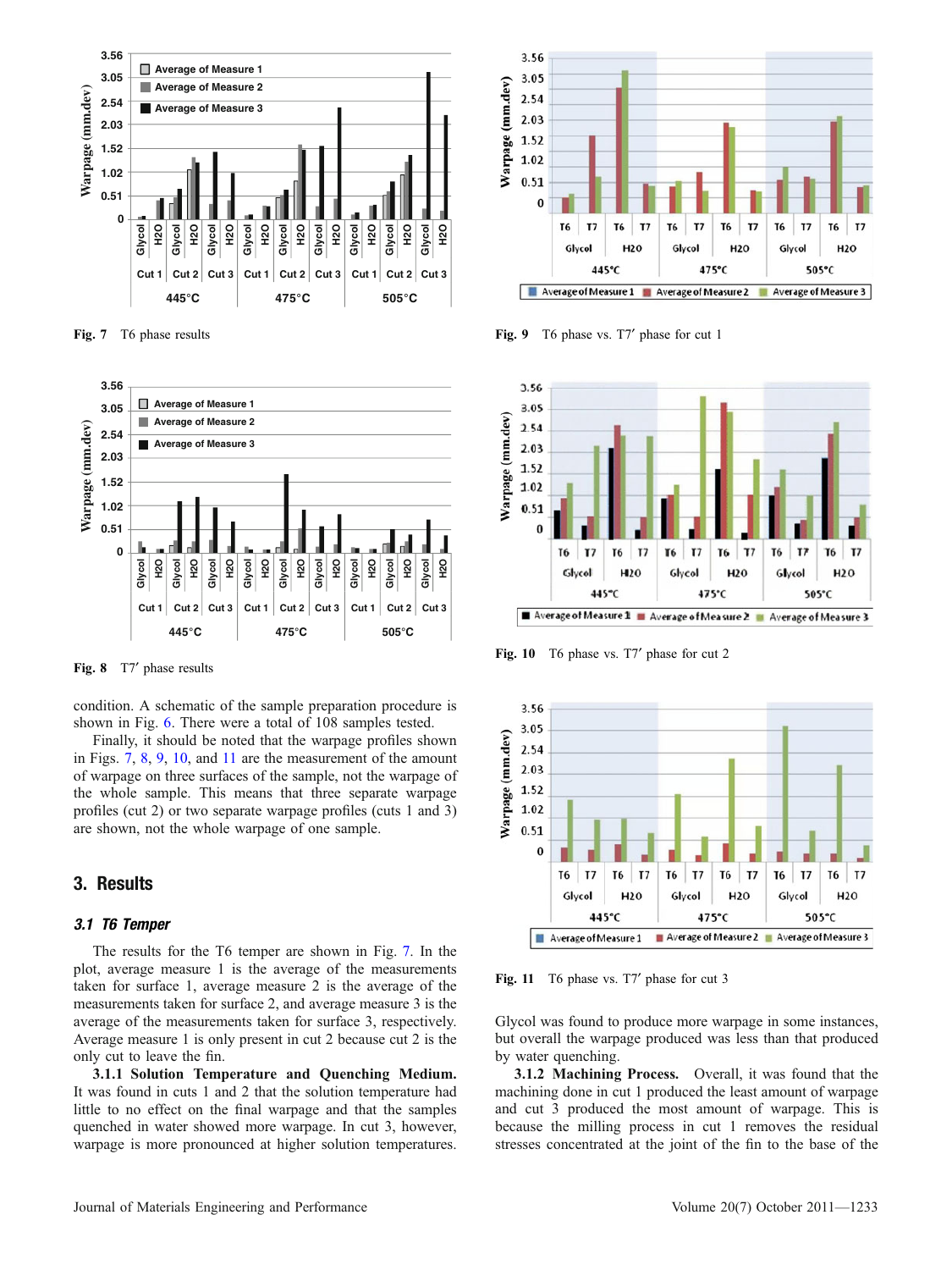<span id="page-5-0"></span>

Fig. 7 T6 phase results



Fig. 8 T7' phase results

condition. A schematic of the sample preparation procedure is shown in Fig. [6.](#page-4-0) There were a total of 108 samples tested.

Finally, it should be noted that the warpage profiles shown in Figs. 7, 8, 9, 10, and 11 are the measurement of the amount of warpage on three surfaces of the sample, not the warpage of the whole sample. This means that three separate warpage profiles (cut 2) or two separate warpage profiles (cuts 1 and 3) are shown, not the whole warpage of one sample.

## 3. Results

#### 3.1 T6 Temper

The results for the T6 temper are shown in Fig. 7. In the plot, average measure 1 is the average of the measurements taken for surface 1, average measure 2 is the average of the measurements taken for surface 2, and average measure 3 is the average of the measurements taken for surface 3, respectively. Average measure 1 is only present in cut 2 because cut 2 is the only cut to leave the fin.

3.1.1 Solution Temperature and Quenching Medium. It was found in cuts 1 and 2 that the solution temperature had little to no effect on the final warpage and that the samples quenched in water showed more warpage. In cut 3, however, warpage is more pronounced at higher solution temperatures.



Fig. 9 T6 phase vs. T7' phase for cut 1



Fig. 10 T6 phase vs. T7' phase for cut 2



Fig. 11 T6 phase vs. T7' phase for cut 3

Glycol was found to produce more warpage in some instances, but overall the warpage produced was less than that produced by water quenching.

3.1.2 Machining Process. Overall, it was found that the machining done in cut 1 produced the least amount of warpage and cut 3 produced the most amount of warpage. This is because the milling process in cut 1 removes the residual stresses concentrated at the joint of the fin to the base of the